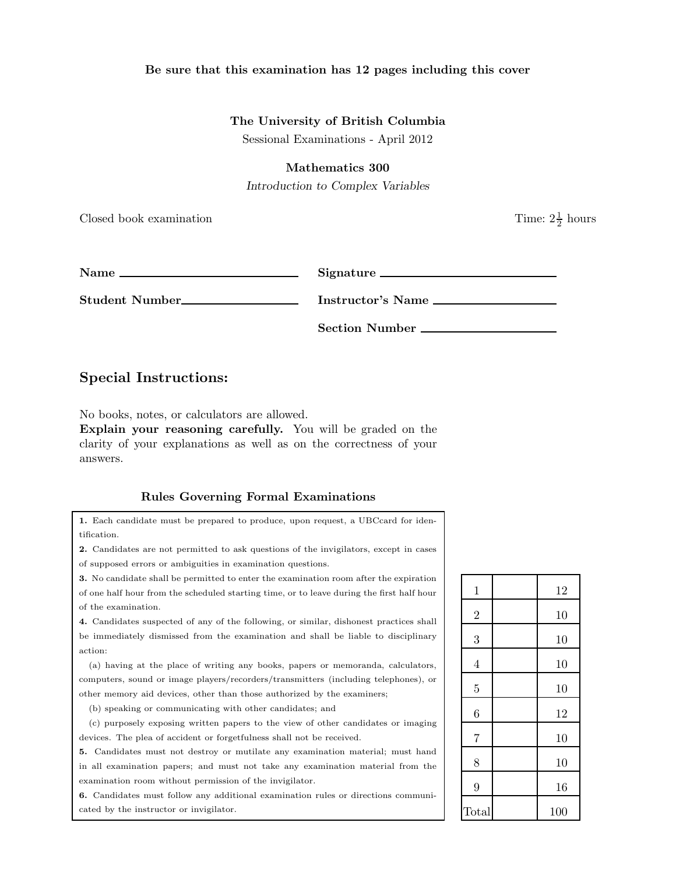### Be sure that this examination has 12 pages including this cover

### The University of British Columbia

Sessional Examinations - April 2012

### Mathematics 300

Introduction to Complex Variables

Closed book examination

| Name<br><u> 1988 - John Harry Harry Harry Harry Harry Harry Harry Harry Harry Harry Harry Harry Harry Harry Harry Harry H</u> |                   |
|-------------------------------------------------------------------------------------------------------------------------------|-------------------|
| Student Number_________________                                                                                               | Instructor's Name |
|                                                                                                                               | Section Number    |

# Special Instructions:

No books, notes, or calculators are allowed.

Explain your reasoning carefully. You will be graded on the clarity of your explanations as well as on the correctness of your answers.

### Rules Governing Formal Examinations

1. Each candidate must be prepared to produce, upon request, a UBCcard for identification.

2. Candidates are not permitted to ask questions of the invigilators, except in cases of supposed errors or ambiguities in examination questions.

3. No candidate shall be permitted to enter the examination room after the expiration

of one half hour from the scheduled starting time, or to leave during the first half hour of the examination.

4. Candidates suspected of any of the following, or similar, dishonest practices shall be immediately dismissed from the examination and shall be liable to disciplinary action:

(a) having at the place of writing any books, papers or memoranda, calculators, computers, sound or image players/recorders/transmitters (including telephones), or other memory aid devices, other than those authorized by the examiners;

(b) speaking or communicating with other candidates; and

(c) purposely exposing written papers to the view of other candidates or imaging devices. The plea of accident or forgetfulness shall not be received.

5. Candidates must not destroy or mutilate any examination material; must hand in all examination papers; and must not take any examination material from the examination room without permission of the invigilator.

6. Candidates must follow any additional examination rules or directions communicated by the instructor or invigilator.

| $\mathbf{1}$   | 12  |
|----------------|-----|
| $\overline{2}$ | 10  |
| 3              | 10  |
| $\overline{4}$ | 10  |
| $\overline{5}$ | 10  |
| 6              | 12  |
| $\overline{7}$ | 10  |
| 8              | 10  |
| 9              | 16  |
| Total          | 100 |

 $\frac{1}{2}$  hours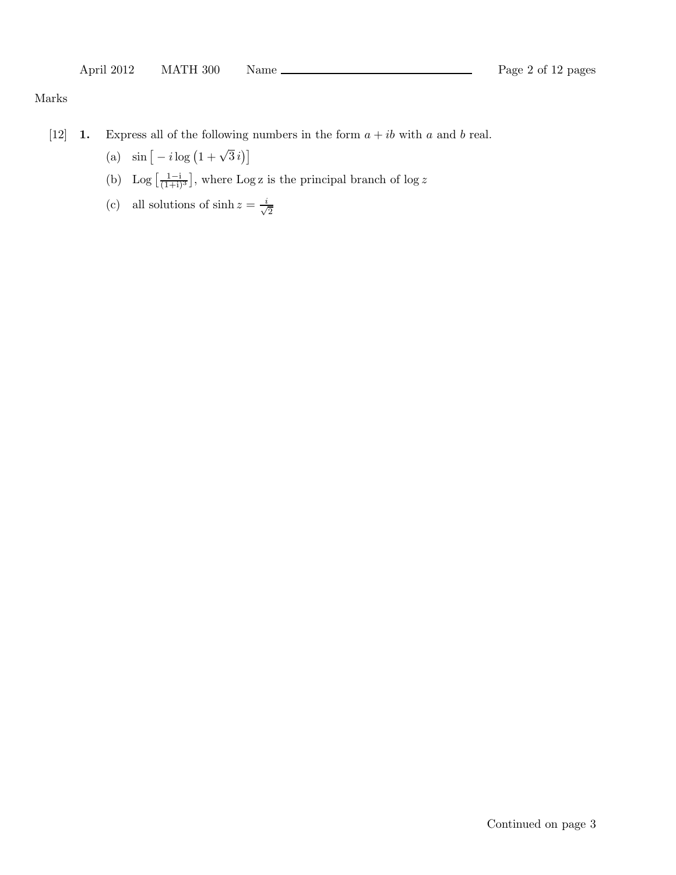## Marks

- [12] **1.** Express all of the following numbers in the form  $a + ib$  with a and b real.
	- (a)  $\sin \left[ -i \log \left( 1 + \sqrt{3} i \right) \right]$
	- (b) Log  $\left[\frac{1-i}{(1+i)^3}\right]$ , where Log z is the principal branch of log z
	- (c) all solutions of  $\sinh z = \frac{i}{\sqrt{2}}$ 2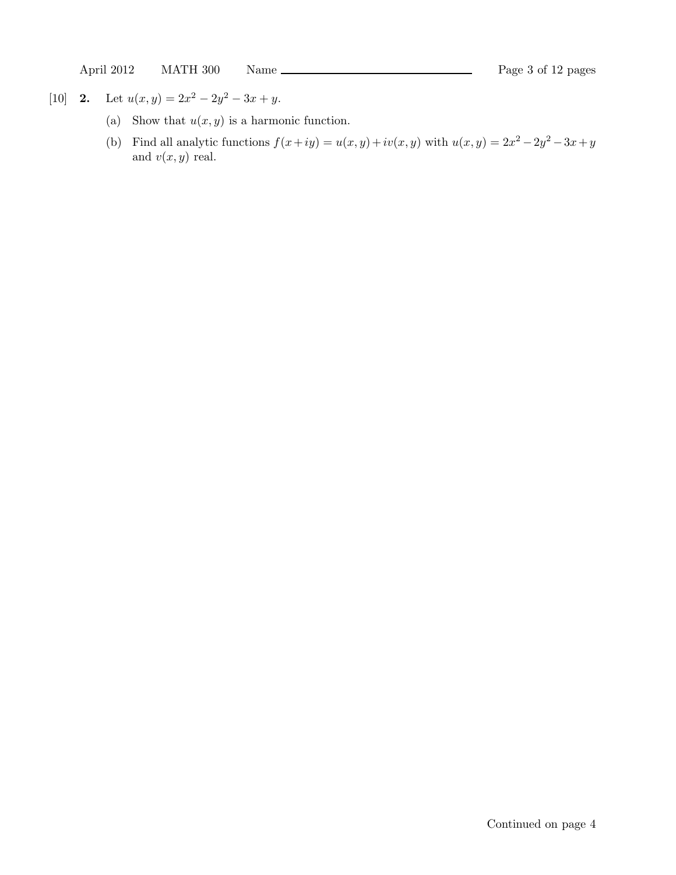[10] **2.** Let  $u(x, y) = 2x^2 - 2y^2 - 3x + y$ .

- (a) Show that  $u(x, y)$  is a harmonic function.
- (b) Find all analytic functions  $f(x+iy) = u(x, y) + iv(x, y)$  with  $u(x, y) = 2x^2 2y^2 3x + y$ and  $v(x, y)$  real.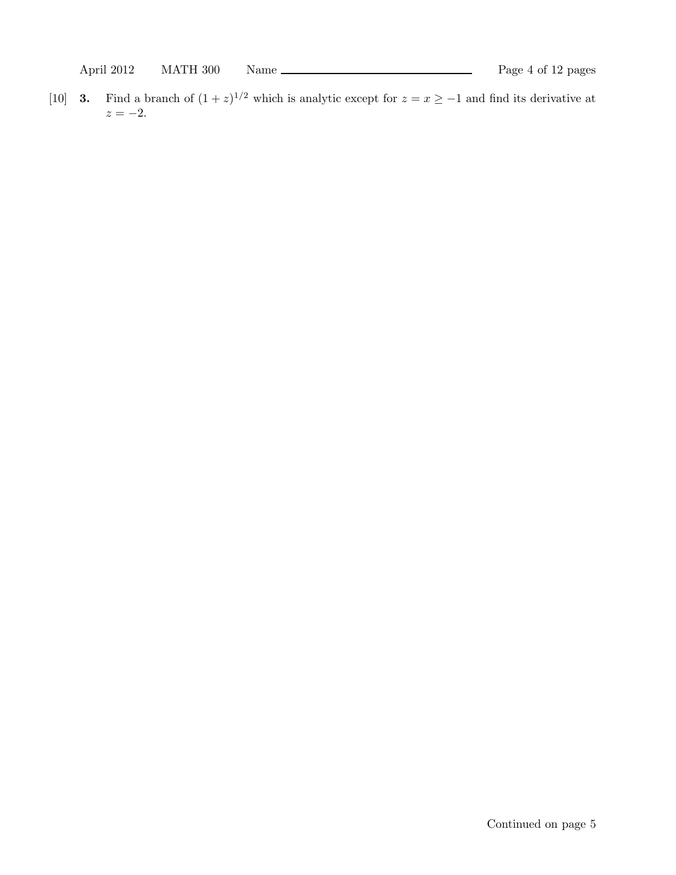[10] **3.** Find a branch of  $(1 + z)^{1/2}$  which is analytic except for  $z = x \ge -1$  and find its derivative at  $z = -2$ .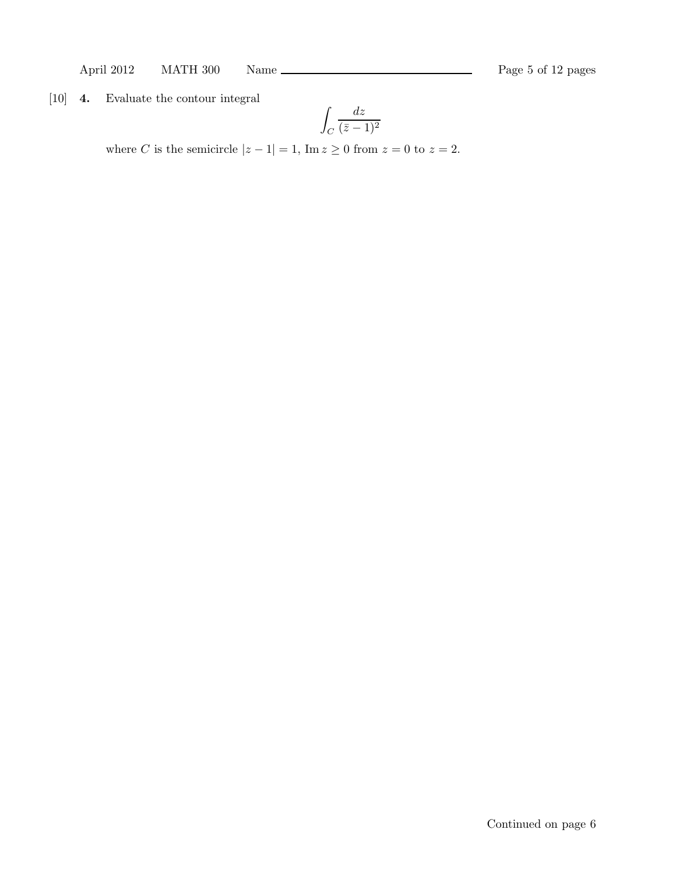April 2012 MATH 300 Name Rage 5 of 12 pages

[10] 4. Evaluate the contour integral

$$
\int_C \frac{dz}{(\bar{z} - 1)^2}
$$

where C is the semicircle  $|z - 1| = 1$ , Im  $z \ge 0$  from  $z = 0$  to  $z = 2$ .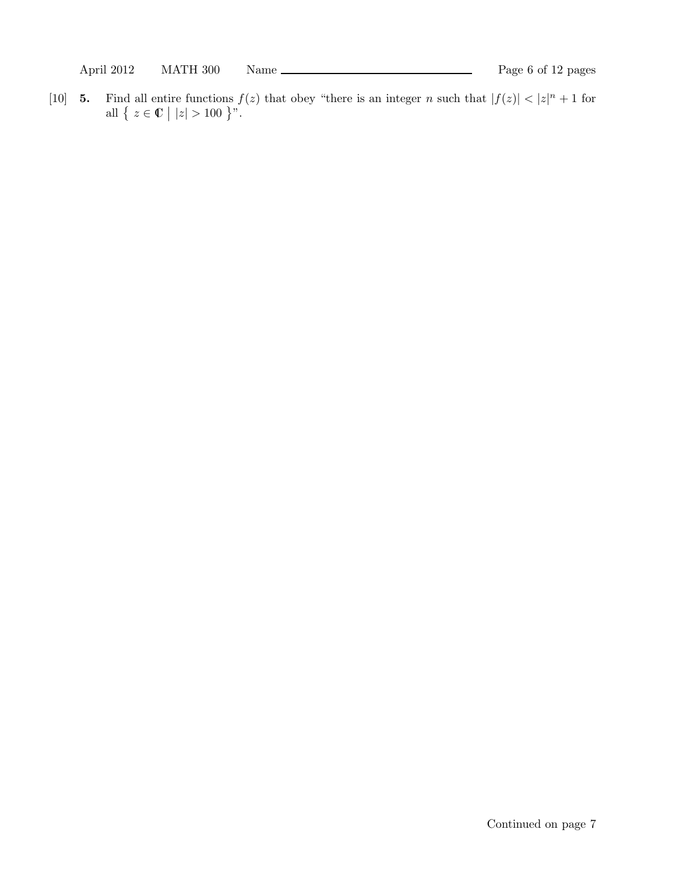[10] **5.** Find all entire functions  $f(z)$  that obey "there is an integer n such that  $|f(z)| < |z|^n + 1$  for all {  $z \in \mathbb{C}$  |  $|z| > 100$  }".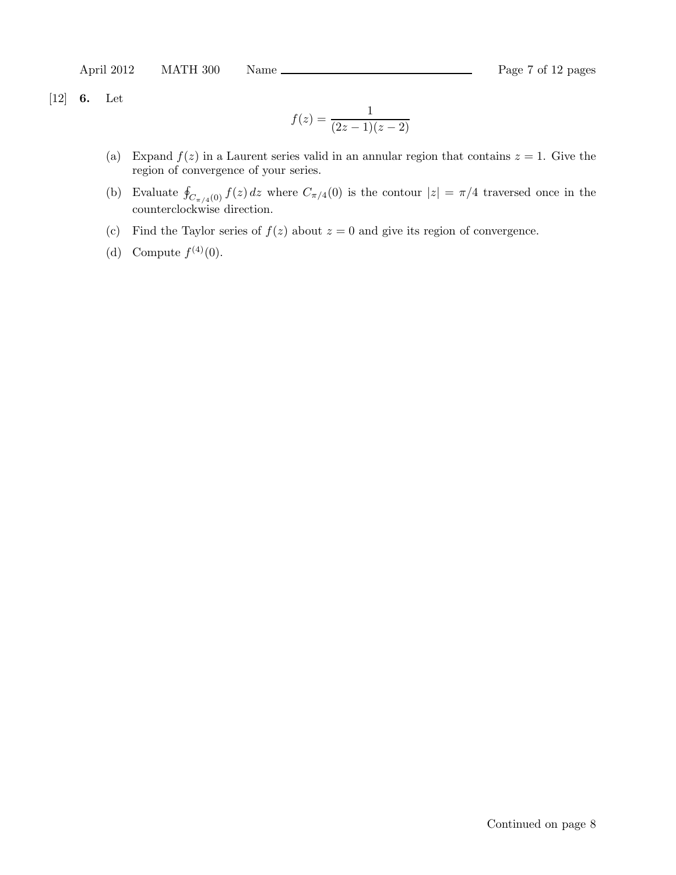April 2012 MATH 300 Name Rage 7 of 12 pages

[12] 6. Let

$$
f(z) = \frac{1}{(2z - 1)(z - 2)}
$$

- (a) Expand  $f(z)$  in a Laurent series valid in an annular region that contains  $z = 1$ . Give the region of convergence of your series.
- (b) Evaluate  $\oint_{C_{\pi/4}(0)} f(z) dz$  where  $C_{\pi/4}(0)$  is the contour  $|z| = \pi/4$  traversed once in the counterclockwise direction.
- (c) Find the Taylor series of  $f(z)$  about  $z = 0$  and give its region of convergence.
- (d) Compute  $f^{(4)}(0)$ .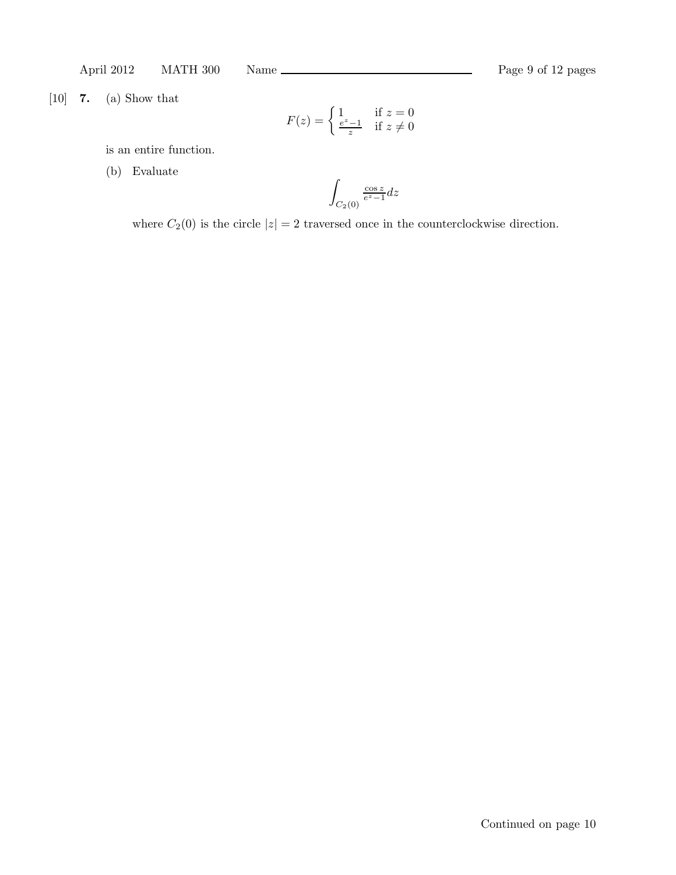[10] 7. (a) Show that

$$
F(z) = \begin{cases} 1 & \text{if } z = 0\\ \frac{e^z - 1}{z} & \text{if } z \neq 0 \end{cases}
$$

is an entire function.

(b) Evaluate

$$
\int_{C_2(0)} \frac{\cos z}{e^z - 1} dz
$$

where  $C_2(0)$  is the circle  $|z| = 2$  traversed once in the counterclockwise direction.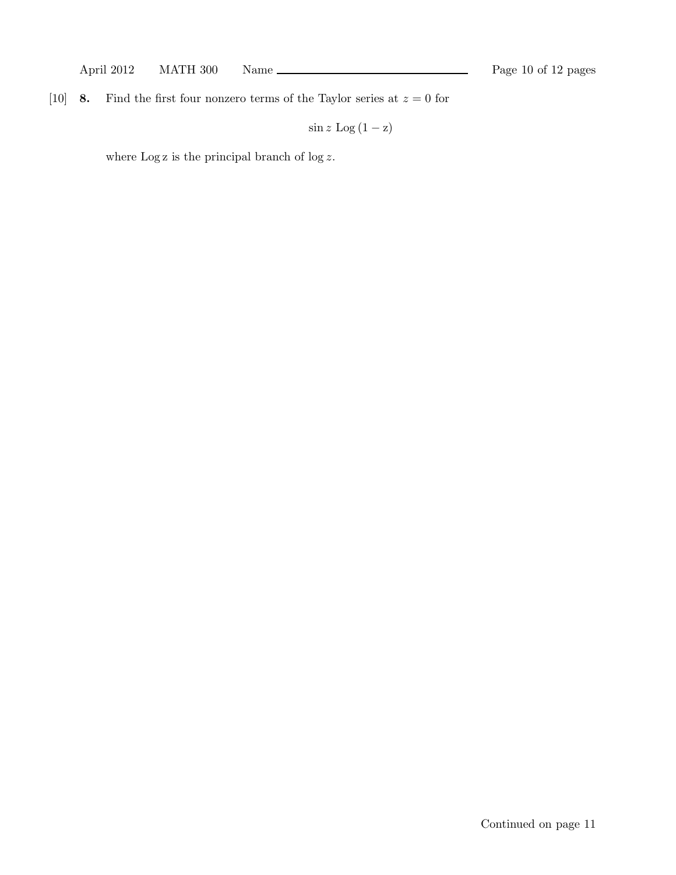[10] **8.** Find the first four nonzero terms of the Taylor series at  $z = 0$  for

 $\sin z \text{ Log } (1 - z)$ 

where  $\operatorname{Log} {\bf z}$  is the principal branch of  $\log z.$